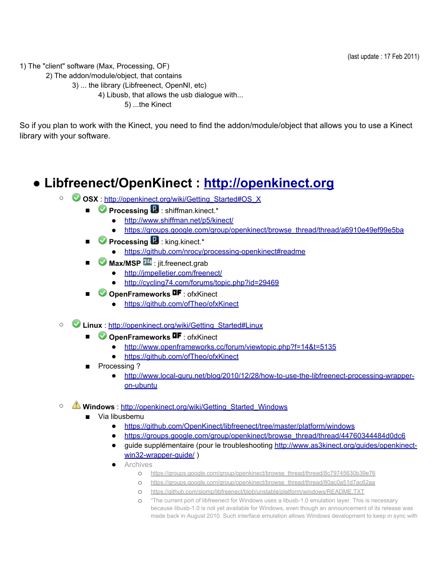1) The "client" software (Max, Processing, OF)

2) The addon/module/object, that contains

3) ... the library (Libfreenect, OpenNI, etc) 4) Libusb, that allows the usb dialogue with...

5) ...the Kinect

So if you plan to work with the Kinect, you need to find the addon/module/object that allows you to use a Kinect library with your software.

# **● Libfreenect/OpenKinect : [http:](http://www.google.com/url?q=http%3A%2F%2Fopenkinect.org&sa=D&sntz=1&usg=AFQjCNEAM9nJ65R0J2VhqvHB2958kEJC4Q)//o[penkinect.org](http://www.google.com/url?q=http%3A%2F%2Fopenkinect.org&sa=D&sntz=1&usg=AFQjCNEAM9nJ65R0J2VhqvHB2958kEJC4Q)**

- **OSX** : [http:](http://www.google.com/url?q=http%3A%2F%2Fopenkinect.org%2Fwiki%2FGetting_Started%23OS_X&sa=D&sntz=1&usg=AFQjCNH4AMEI_bPriYbE9rIlBEdU5p678g)//o[penkinect.org/w](http://www.google.com/url?q=http%3A%2F%2Fopenkinect.org%2Fwiki%2FGetting_Started%23OS_X&sa=D&sntz=1&usg=AFQjCNH4AMEI_bPriYbE9rIlBEdU5p678g)iki/Getting[\\_Star](http://www.google.com/url?q=http%3A%2F%2Fopenkinect.org%2Fwiki%2FGetting_Started%23OS_X&sa=D&sntz=1&usg=AFQjCNH4AMEI_bPriYbE9rIlBEdU5p678g)te[d#OS\\_](http://www.google.com/url?q=http%3A%2F%2Fopenkinect.org%2Fwiki%2FGetting_Started%23OS_X&sa=D&sntz=1&usg=AFQjCNH4AMEI_bPriYbE9rIlBEdU5p678g)X
	- **Processing ■** : shiffman.kinect.\*
		- [http:](http://www.google.com/url?q=http%3A%2F%2Fwww.shiffman.net%2Fp5%2Fkinect%2F&sa=D&sntz=1&usg=AFQjCNGmpqJpI02V_s3Erqc1l-WzCyKKOw)//w[ww](http://www.google.com/url?q=http%3A%2F%2Fwww.shiffman.net%2Fp5%2Fkinect%2F&sa=D&sntz=1&usg=AFQjCNGmpqJpI02V_s3Erqc1l-WzCyKKOw).[shiffm](http://www.google.com/url?q=http%3A%2F%2Fwww.shiffman.net%2Fp5%2Fkinect%2F&sa=D&sntz=1&usg=AFQjCNGmpqJpI02V_s3Erqc1l-WzCyKKOw)an.[net/p5/kine](http://www.google.com/url?q=http%3A%2F%2Fwww.shiffman.net%2Fp5%2Fkinect%2F&sa=D&sntz=1&usg=AFQjCNGmpqJpI02V_s3Erqc1l-WzCyKKOw)ct/
		- [https:](https://groups.google.com/group/openkinect/browse_thread/thread/a6910e49ef99e5ba)//gr[oups.google](https://groups.google.com/group/openkinect/browse_thread/thread/a6910e49ef99e5ba).com/[group/op](https://groups.google.com/group/openkinect/browse_thread/thread/a6910e49ef99e5ba)enkine[ct/bro](https://groups.google.com/group/openkinect/browse_thread/thread/a6910e49ef99e5ba)wse[\\_thread](https://groups.google.com/group/openkinect/browse_thread/thread/a6910e49ef99e5ba)/thre[ad/a6910e49](https://groups.google.com/group/openkinect/browse_thread/thread/a6910e49ef99e5ba)ef99e5ba
	- **O** Processing **B**: king.kinect.\*
		- [https:](http://www.google.com/url?q=https%3A%2F%2Fgithub.com%2Fnrocy%2Fprocessing-openkinect%23readme&sa=D&sntz=1&usg=AFQjCNEgw_QzfmcBNFS4Tk8UApfXanJPcA)//git[hub.com/n](http://www.google.com/url?q=https%3A%2F%2Fgithub.com%2Fnrocy%2Fprocessing-openkinect%23readme&sa=D&sntz=1&usg=AFQjCNEgw_QzfmcBNFS4Tk8UApfXanJPcA)rocy/p[rocess](http://www.google.com/url?q=https%3A%2F%2Fgithub.com%2Fnrocy%2Fprocessing-openkinect%23readme&sa=D&sntz=1&usg=AFQjCNEgw_QzfmcBNFS4Tk8UApfXanJPcA)ing[-openki](http://www.google.com/url?q=https%3A%2F%2Fgithub.com%2Fnrocy%2Fprocessing-openkinect%23readme&sa=D&sntz=1&usg=AFQjCNEgw_QzfmcBNFS4Tk8UApfXanJPcA)nect[#readme](http://www.google.com/url?q=https%3A%2F%2Fgithub.com%2Fnrocy%2Fprocessing-openkinect%23readme&sa=D&sntz=1&usg=AFQjCNEgw_QzfmcBNFS4Tk8UApfXanJPcA)
	- **Max/MSP** <sup>14</sup> : jit.freenect.grab
		- [http:](http://www.google.com/url?q=http%3A%2F%2Fjmpelletier.com%2Ffreenect%2F&sa=D&sntz=1&usg=AFQjCNEryQdemgbUyXs4fpV1hl2NvLUHLw)//j[mpe](http://www.google.com/url?q=http%3A%2F%2Fjmpelletier.com%2Ffreenect%2F&sa=D&sntz=1&usg=AFQjCNEryQdemgbUyXs4fpV1hl2NvLUHLw)l[letier.com/f](http://www.google.com/url?q=http%3A%2F%2Fjmpelletier.com%2Ffreenect%2F&sa=D&sntz=1&usg=AFQjCNEryQdemgbUyXs4fpV1hl2NvLUHLw)reenect/
		- [http:](http://www.google.com/url?q=http%3A%2F%2Fcycling74.com%2Fforums%2Ftopic.php%3Fid%3D29469&sa=D&sntz=1&usg=AFQjCNEsYk18KyOvf_5hEyNQ-lB1Qh1uMw)//c[ycl](http://www.google.com/url?q=http%3A%2F%2Fcycling74.com%2Fforums%2Ftopic.php%3Fid%3D29469&sa=D&sntz=1&usg=AFQjCNEsYk18KyOvf_5hEyNQ-lB1Qh1uMw)i[ng74.com](http://www.google.com/url?q=http%3A%2F%2Fcycling74.com%2Fforums%2Ftopic.php%3Fid%3D29469&sa=D&sntz=1&usg=AFQjCNEsYk18KyOvf_5hEyNQ-lB1Qh1uMw)/foru[ms/t](http://www.google.com/url?q=http%3A%2F%2Fcycling74.com%2Fforums%2Ftopic.php%3Fid%3D29469&sa=D&sntz=1&usg=AFQjCNEsYk18KyOvf_5hEyNQ-lB1Qh1uMw)op[ic.ph](http://www.google.com/url?q=http%3A%2F%2Fcycling74.com%2Fforums%2Ftopic.php%3Fid%3D29469&sa=D&sntz=1&usg=AFQjCNEsYk18KyOvf_5hEyNQ-lB1Qh1uMw)p?i[d=29469](http://www.google.com/url?q=http%3A%2F%2Fcycling74.com%2Fforums%2Ftopic.php%3Fid%3D29469&sa=D&sntz=1&usg=AFQjCNEsYk18KyOvf_5hEyNQ-lB1Qh1uMw)
	- **OpenFrameworks ■F** : ofxKinect
		- [https:](http://www.google.com/url?q=https%3A%2F%2Fgithub.com%2FofTheo%2FofxKinect&sa=D&sntz=1&usg=AFQjCNGIwVfUIF3crdutaO9U4ZgVT0SSeg)//git[hub.com/o](http://www.google.com/url?q=https%3A%2F%2Fgithub.com%2FofTheo%2FofxKinect&sa=D&sntz=1&usg=AFQjCNGIwVfUIF3crdutaO9U4ZgVT0SSeg)fTheo[/ofxKin](http://www.google.com/url?q=https%3A%2F%2Fgithub.com%2FofTheo%2FofxKinect&sa=D&sntz=1&usg=AFQjCNGIwVfUIF3crdutaO9U4ZgVT0SSeg)ect
- **Linux** : [http](http://www.google.com/url?q=http%3A%2F%2Fopenkinect.org%2Fwiki%2FGetting_Started%23Linux&sa=D&sntz=1&usg=AFQjCNGZZN8_9S0utl8DS60ABaVpOrYIsw)://o[pe](http://www.google.com/url?q=http%3A%2F%2Fopenkinect.org%2Fwiki%2FGetting_Started%23Linux&sa=D&sntz=1&usg=AFQjCNGZZN8_9S0utl8DS60ABaVpOrYIsw)n[kinect.org/w](http://www.google.com/url?q=http%3A%2F%2Fopenkinect.org%2Fwiki%2FGetting_Started%23Linux&sa=D&sntz=1&usg=AFQjCNGZZN8_9S0utl8DS60ABaVpOrYIsw)iki/Getting[\\_Star](http://www.google.com/url?q=http%3A%2F%2Fopenkinect.org%2Fwiki%2FGetting_Started%23Linux&sa=D&sntz=1&usg=AFQjCNGZZN8_9S0utl8DS60ABaVpOrYIsw)te[d#Linu](http://www.google.com/url?q=http%3A%2F%2Fopenkinect.org%2Fwiki%2FGetting_Started%23Linux&sa=D&sntz=1&usg=AFQjCNGZZN8_9S0utl8DS60ABaVpOrYIsw)x
	- **OpenFrameworks OF**: ofxKinect
		- [http:](http://www.google.com/url?q=http%3A%2F%2Fwww.openframeworks.cc%2Fforum%2Fviewtopic.php%3Ff%3D14%26t%3D5135&sa=D&sntz=1&usg=AFQjCNEvqNCOjKqZtl3L-F5ZdJ6IjEzvZw)//[ww](http://www.google.com/url?q=http%3A%2F%2Fwww.openframeworks.cc%2Fforum%2Fviewtopic.php%3Ff%3D14%26t%3D5135&sa=D&sntz=1&usg=AFQjCNEvqNCOjKqZtl3L-F5ZdJ6IjEzvZw)w.[openf](http://www.google.com/url?q=http%3A%2F%2Fwww.openframeworks.cc%2Fforum%2Fviewtopic.php%3Ff%3D14%26t%3D5135&sa=D&sntz=1&usg=AFQjCNEvqNCOjKqZtl3L-F5ZdJ6IjEzvZw)ram[eworks.cc/forum/vi](http://www.google.com/url?q=http%3A%2F%2Fwww.openframeworks.cc%2Fforum%2Fviewtopic.php%3Ff%3D14%26t%3D5135&sa=D&sntz=1&usg=AFQjCNEvqNCOjKqZtl3L-F5ZdJ6IjEzvZw)ewtopic.php?f=[14&t](http://www.google.com/url?q=http%3A%2F%2Fwww.openframeworks.cc%2Fforum%2Fviewtopic.php%3Ff%3D14%26t%3D5135&sa=D&sntz=1&usg=AFQjCNEvqNCOjKqZtl3L-F5ZdJ6IjEzvZw)=[5135](http://www.google.com/url?q=http%3A%2F%2Fwww.openframeworks.cc%2Fforum%2Fviewtopic.php%3Ff%3D14%26t%3D5135&sa=D&sntz=1&usg=AFQjCNEvqNCOjKqZtl3L-F5ZdJ6IjEzvZw)
		- [https:](http://www.google.com/url?q=https%3A%2F%2Fgithub.com%2FofTheo%2FofxKinect&sa=D&sntz=1&usg=AFQjCNGIwVfUIF3crdutaO9U4ZgVT0SSeg)//git[hub.com/o](http://www.google.com/url?q=https%3A%2F%2Fgithub.com%2FofTheo%2FofxKinect&sa=D&sntz=1&usg=AFQjCNGIwVfUIF3crdutaO9U4ZgVT0SSeg)fTheo[/ofxKin](http://www.google.com/url?q=https%3A%2F%2Fgithub.com%2FofTheo%2FofxKinect&sa=D&sntz=1&usg=AFQjCNGIwVfUIF3crdutaO9U4ZgVT0SSeg)ect
	- Processing ?
		- [http:](http://www.google.com/url?q=http%3A%2F%2Fwww.local-guru.net%2Fblog%2F2010%2F12%2F28%2Fhow-to-use-the-libfreenect-processing-wrapper-on-ubuntu&sa=D&sntz=1&usg=AFQjCNHpDR9wBRl_v5YCHBGduWvq-Jp9Zw)//w[ww](http://www.google.com/url?q=http%3A%2F%2Fwww.local-guru.net%2Fblog%2F2010%2F12%2F28%2Fhow-to-use-the-libfreenect-processing-wrapper-on-ubuntu&sa=D&sntz=1&usg=AFQjCNHpDR9wBRl_v5YCHBGduWvq-Jp9Zw).[local-](http://www.google.com/url?q=http%3A%2F%2Fwww.local-guru.net%2Fblog%2F2010%2F12%2F28%2Fhow-to-use-the-libfreenect-processing-wrapper-on-ubuntu&sa=D&sntz=1&usg=AFQjCNHpDR9wBRl_v5YCHBGduWvq-Jp9Zw)gur[u.net/bl](http://www.google.com/url?q=http%3A%2F%2Fwww.local-guru.net%2Fblog%2F2010%2F12%2F28%2Fhow-to-use-the-libfreenect-processing-wrapper-on-ubuntu&sa=D&sntz=1&usg=AFQjCNHpDR9wBRl_v5YCHBGduWvq-Jp9Zw)og/[2010/12](http://www.google.com/url?q=http%3A%2F%2Fwww.local-guru.net%2Fblog%2F2010%2F12%2F28%2Fhow-to-use-the-libfreenect-processing-wrapper-on-ubuntu&sa=D&sntz=1&usg=AFQjCNHpDR9wBRl_v5YCHBGduWvq-Jp9Zw)/28[/how-](http://www.google.com/url?q=http%3A%2F%2Fwww.local-guru.net%2Fblog%2F2010%2F12%2F28%2Fhow-to-use-the-libfreenect-processing-wrapper-on-ubuntu&sa=D&sntz=1&usg=AFQjCNHpDR9wBRl_v5YCHBGduWvq-Jp9Zw)to[-use-th](http://www.google.com/url?q=http%3A%2F%2Fwww.local-guru.net%2Fblog%2F2010%2F12%2F28%2Fhow-to-use-the-libfreenect-processing-wrapper-on-ubuntu&sa=D&sntz=1&usg=AFQjCNHpDR9wBRl_v5YCHBGduWvq-Jp9Zw)e-li[bfreenect-pro](http://www.google.com/url?q=http%3A%2F%2Fwww.local-guru.net%2Fblog%2F2010%2F12%2F28%2Fhow-to-use-the-libfreenect-processing-wrapper-on-ubuntu&sa=D&sntz=1&usg=AFQjCNHpDR9wBRl_v5YCHBGduWvq-Jp9Zw)cessing-wra[pper](http://www.google.com/url?q=http%3A%2F%2Fwww.local-guru.net%2Fblog%2F2010%2F12%2F28%2Fhow-to-use-the-libfreenect-processing-wrapper-on-ubuntu&sa=D&sntz=1&usg=AFQjCNHpDR9wBRl_v5YCHBGduWvq-Jp9Zw)[on](http://www.google.com/url?q=http%3A%2F%2Fwww.local-guru.net%2Fblog%2F2010%2F12%2F28%2Fhow-to-use-the-libfreenect-processing-wrapper-on-ubuntu&sa=D&sntz=1&usg=AFQjCNHpDR9wBRl_v5YCHBGduWvq-Jp9Zw)-u[buntu](http://www.google.com/url?q=http%3A%2F%2Fwww.local-guru.net%2Fblog%2F2010%2F12%2F28%2Fhow-to-use-the-libfreenect-processing-wrapper-on-ubuntu&sa=D&sntz=1&usg=AFQjCNHpDR9wBRl_v5YCHBGduWvq-Jp9Zw)
- **Windows** : [http:](http://www.google.com/url?q=http%3A%2F%2Fopenkinect.org%2Fwiki%2FGetting_Started_Windows&sa=D&sntz=1&usg=AFQjCNEb7DiV0y7KxBEaTg1tPGymbig1UA)//o[penkinect.org/w](http://www.google.com/url?q=http%3A%2F%2Fopenkinect.org%2Fwiki%2FGetting_Started_Windows&sa=D&sntz=1&usg=AFQjCNEb7DiV0y7KxBEaTg1tPGymbig1UA)iki/Getting[\\_Star](http://www.google.com/url?q=http%3A%2F%2Fopenkinect.org%2Fwiki%2FGetting_Started_Windows&sa=D&sntz=1&usg=AFQjCNEb7DiV0y7KxBEaTg1tPGymbig1UA)te[d\\_Win](http://www.google.com/url?q=http%3A%2F%2Fopenkinect.org%2Fwiki%2FGetting_Started_Windows&sa=D&sntz=1&usg=AFQjCNEb7DiV0y7KxBEaTg1tPGymbig1UA)do[ws](http://www.google.com/url?q=http%3A%2F%2Fopenkinect.org%2Fwiki%2FGetting_Started_Windows&sa=D&sntz=1&usg=AFQjCNEb7DiV0y7KxBEaTg1tPGymbig1UA)
	- Via libusbemu
		- [https:](http://www.google.com/url?q=https%3A%2F%2Fgithub.com%2FOpenKinect%2Flibfreenect%2Ftree%2Fmaster%2Fplatform%2Fwindows&sa=D&sntz=1&usg=AFQjCNHUcOZJxkc8Pu5IntZr9PUVNeHAfg)//git[hub.com/O](http://www.google.com/url?q=https%3A%2F%2Fgithub.com%2FOpenKinect%2Flibfreenect%2Ftree%2Fmaster%2Fplatform%2Fwindows&sa=D&sntz=1&usg=AFQjCNHUcOZJxkc8Pu5IntZr9PUVNeHAfg)penK[inect/li](http://www.google.com/url?q=https%3A%2F%2Fgithub.com%2FOpenKinect%2Flibfreenect%2Ftree%2Fmaster%2Fplatform%2Fwindows&sa=D&sntz=1&usg=AFQjCNHUcOZJxkc8Pu5IntZr9PUVNeHAfg)bfr[eenect/tree/ma](http://www.google.com/url?q=https%3A%2F%2Fgithub.com%2FOpenKinect%2Flibfreenect%2Ftree%2Fmaster%2Fplatform%2Fwindows&sa=D&sntz=1&usg=AFQjCNHUcOZJxkc8Pu5IntZr9PUVNeHAfg)ster/platfor[m/windows](http://www.google.com/url?q=https%3A%2F%2Fgithub.com%2FOpenKinect%2Flibfreenect%2Ftree%2Fmaster%2Fplatform%2Fwindows&sa=D&sntz=1&usg=AFQjCNHUcOZJxkc8Pu5IntZr9PUVNeHAfg)
		- [https:](https://groups.google.com/group/openkinect/browse_thread/thread/44760344484d0dc6)//gr[oups.google](https://groups.google.com/group/openkinect/browse_thread/thread/44760344484d0dc6).com/[group/op](https://groups.google.com/group/openkinect/browse_thread/thread/44760344484d0dc6)enkine[ct/bro](https://groups.google.com/group/openkinect/browse_thread/thread/44760344484d0dc6)wse[\\_thread](https://groups.google.com/group/openkinect/browse_thread/thread/44760344484d0dc6)/thre[ad/44760344](https://groups.google.com/group/openkinect/browse_thread/thread/44760344484d0dc6)484d0dc6
		- guide supplémentaire (pour le troubleshooting [http:](http://www.google.com/url?q=http%3A%2F%2Fwww.as3kinect.org%2Fguides%2Fopenkinect-win32-wrapper-guide%2F&sa=D&sntz=1&usg=AFQjCNEXJfmcKkl5zbtiDCWhpBZFSegazw)//w[ww](http://www.google.com/url?q=http%3A%2F%2Fwww.as3kinect.org%2Fguides%2Fopenkinect-win32-wrapper-guide%2F&sa=D&sntz=1&usg=AFQjCNEXJfmcKkl5zbtiDCWhpBZFSegazw).[as3ki](http://www.google.com/url?q=http%3A%2F%2Fwww.as3kinect.org%2Fguides%2Fopenkinect-win32-wrapper-guide%2F&sa=D&sntz=1&usg=AFQjCNEXJfmcKkl5zbtiDCWhpBZFSegazw)nect[.org/](http://www.google.com/url?q=http%3A%2F%2Fwww.as3kinect.org%2Fguides%2Fopenkinect-win32-wrapper-guide%2F&sa=D&sntz=1&usg=AFQjCNEXJfmcKkl5zbtiDCWhpBZFSegazw)g[uides/ope](http://www.google.com/url?q=http%3A%2F%2Fwww.as3kinect.org%2Fguides%2Fopenkinect-win32-wrapper-guide%2F&sa=D&sntz=1&usg=AFQjCNEXJfmcKkl5zbtiDCWhpBZFSegazw)nkin[ect](http://www.google.com/url?q=http%3A%2F%2Fwww.as3kinect.org%2Fguides%2Fopenkinect-win32-wrapper-guide%2F&sa=D&sntz=1&usg=AFQjCNEXJfmcKkl5zbtiDCWhpBZFSegazw)[win](http://www.google.com/url?q=http%3A%2F%2Fwww.as3kinect.org%2Fguides%2Fopenkinect-win32-wrapper-guide%2F&sa=D&sntz=1&usg=AFQjCNEXJfmcKkl5zbtiDCWhpBZFSegazw)32-[wra](http://www.google.com/url?q=http%3A%2F%2Fwww.as3kinect.org%2Fguides%2Fopenkinect-win32-wrapper-guide%2F&sa=D&sntz=1&usg=AFQjCNEXJfmcKkl5zbtiDCWhpBZFSegazw)pp[er-guide/](http://www.google.com/url?q=http%3A%2F%2Fwww.as3kinect.org%2Fguides%2Fopenkinect-win32-wrapper-guide%2F&sa=D&sntz=1&usg=AFQjCNEXJfmcKkl5zbtiDCWhpBZFSegazw) )
		- **•** Archives
			- [https](https://groups.google.com/group/openkinect/browse_thread/thread/8c79745630b39e76)://gr[oups.google](https://groups.google.com/group/openkinect/browse_thread/thread/8c79745630b39e76).com/[group/op](https://groups.google.com/group/openkinect/browse_thread/thread/8c79745630b39e76)enkin[ect/bro](https://groups.google.com/group/openkinect/browse_thread/thread/8c79745630b39e76)wse[\\_thread](https://groups.google.com/group/openkinect/browse_thread/thread/8c79745630b39e76)/thre[ad/8c797456](https://groups.google.com/group/openkinect/browse_thread/thread/8c79745630b39e76)30b39e76
			- [https](https://groups.google.com/group/openkinect/browse_thread/thread/80ac0a51d7ac62aa)://gr[oups.google](https://groups.google.com/group/openkinect/browse_thread/thread/80ac0a51d7ac62aa).com/[group/op](https://groups.google.com/group/openkinect/browse_thread/thread/80ac0a51d7ac62aa)enkin[ect/bro](https://groups.google.com/group/openkinect/browse_thread/thread/80ac0a51d7ac62aa)wse[\\_thread](https://groups.google.com/group/openkinect/browse_thread/thread/80ac0a51d7ac62aa)/thre[ad/80ac0a51](https://groups.google.com/group/openkinect/browse_thread/thread/80ac0a51d7ac62aa)d7ac62aa
			- [https](http://www.google.com/url?q=https%3A%2F%2Fgithub.com%2Fslomp%2Flibfreenect%2Fblob%2Funstable%2Fplatform%2Fwindows%2FREADME.TXT&sa=D&sntz=1&usg=AFQjCNEKZlngLK_WflOWqb68_bndB5k_Gg)://git[hu](http://www.google.com/url?q=https%3A%2F%2Fgithub.com%2Fslomp%2Flibfreenect%2Fblob%2Funstable%2Fplatform%2Fwindows%2FREADME.TXT&sa=D&sntz=1&usg=AFQjCNEKZlngLK_WflOWqb68_bndB5k_Gg)b[.com/sl](http://www.google.com/url?q=https%3A%2F%2Fgithub.com%2Fslomp%2Flibfreenect%2Fblob%2Funstable%2Fplatform%2Fwindows%2FREADME.TXT&sa=D&sntz=1&usg=AFQjCNEKZlngLK_WflOWqb68_bndB5k_Gg)omp/l[ibfreen](http://www.google.com/url?q=https%3A%2F%2Fgithub.com%2Fslomp%2Flibfreenect%2Fblob%2Funstable%2Fplatform%2Fwindows%2FREADME.TXT&sa=D&sntz=1&usg=AFQjCNEKZlngLK_WflOWqb68_bndB5k_Gg)ect[/blob/un](http://www.google.com/url?q=https%3A%2F%2Fgithub.com%2Fslomp%2Flibfreenect%2Fblob%2Funstable%2Fplatform%2Fwindows%2FREADME.TXT&sa=D&sntz=1&usg=AFQjCNEKZlngLK_WflOWqb68_bndB5k_Gg)stabl[e/platform/wi](http://www.google.com/url?q=https%3A%2F%2Fgithub.com%2Fslomp%2Flibfreenect%2Fblob%2Funstable%2Fplatform%2Fwindows%2FREADME.TXT&sa=D&sntz=1&usg=AFQjCNEKZlngLK_WflOWqb68_bndB5k_Gg)ndows/R[EADME](http://www.google.com/url?q=https%3A%2F%2Fgithub.com%2Fslomp%2Flibfreenect%2Fblob%2Funstable%2Fplatform%2Fwindows%2FREADME.TXT&sa=D&sntz=1&usg=AFQjCNEKZlngLK_WflOWqb68_bndB5k_Gg).T[XT](http://www.google.com/url?q=https%3A%2F%2Fgithub.com%2Fslomp%2Flibfreenect%2Fblob%2Funstable%2Fplatform%2Fwindows%2FREADME.TXT&sa=D&sntz=1&usg=AFQjCNEKZlngLK_WflOWqb68_bndB5k_Gg)
			- "The current port of libfreenect for Windows uses a libusb-1.0 emulation layer. This is necessary because libusb-1.0 is not yet available for Windows, even though an announcement of its release was made back in August 2010. Such interface emulation allows Windows development to keep in sync with